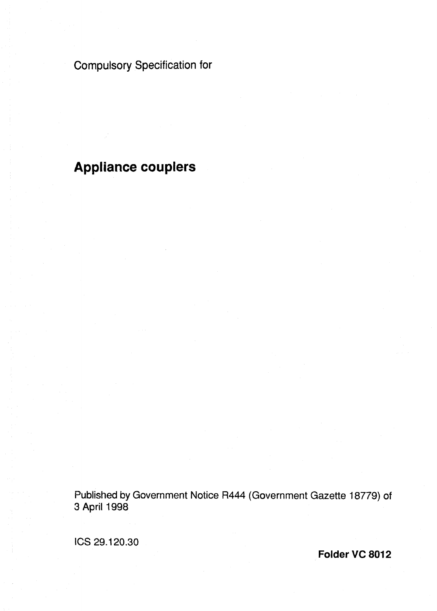# Compulsory Specification for

# **Appliance couplers**

Published by Government Notice R444 (Government Gazette 18779) of 3 April 1998

ICS 29.1 **20.30** 

**Folder VC 8012**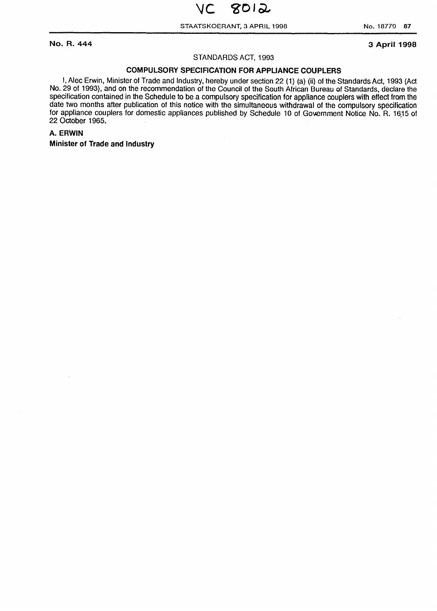STAATSKOERANT, 3 APRIL 1998 **No. 18779 87** 

**No. R. 444 3 April 1998** 

#### STANDARDS ACT, 1993

## **COMPULSORY SPECIFICATION FOR APPLIANCE COUPLERS**

I, Alec Erwin, Minister of Trade and Industry, hereby under section 22 (1) (a) (ii) of the Standards Act, 1993 (Act No. 29 of 1993), and on the recommendation of the Council of the South African Bureau of Standards, declare the specification contained in the Schedule to be a compulsory specification for appliance couplers with effect from the date two months after publication of this notice with the simultaneous withdrawal of the compulsory specification for appliance couplers for domestic appliances published by Schedule 10 of Government Notice No. R. 1615 of 22 October 1965.

#### **A. ERWIN**

**Minister of Trade and Industry**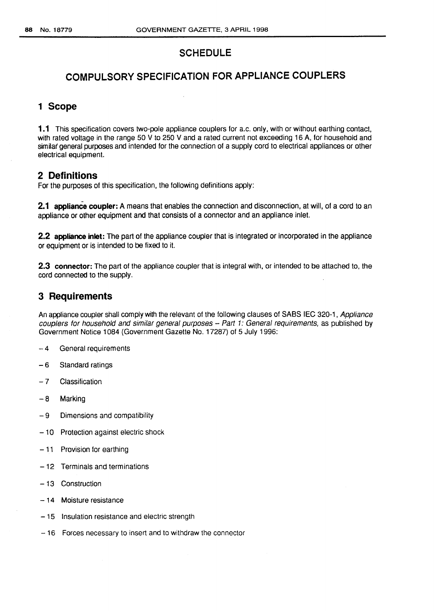# SCHEDULE

# COMPULSORY SPECIFICATION FOR APPLIANCE COUPLERS

## **1 Scope**

**1.1** This specification covers two-pole appliance couplers for a.c. only, with or without earthing contact, with rated voltage in the range 50 V to 250 V and a rated current not exceeding 16 A, for household and similar general purposes and intended for the connection of a supply cord to electrical appliances or other electrical equipment.

### **2 Definitions**

For the purposes of this specification, the following definitions apply:

**2.1 appliance coupler: A** means that enables the connection and disconnection, at will, of a cord to an appliance or other equipment and that consists of a connector and an appliance inlet.

**2.2 appliance inlet:** The part of the appliance coupler that is integrated or incorporated in the appliance or equipment or is intended to be fixed to it.

**2.3 connector:** The part of the appliance coupler that is integral with, or intended to be attached to, the cord connected to the supply.

## **3 Requirements**

An appliance coupler shall comply with the relevant of the following clauses of SABS IEC 320-1, Appliance couplers for household and similar general purposes  $-$  Part 1: General requirements, as published by Government Notice 1084 (Government Gazette No. 17287) of 5 July 1996:

- 4 General requirements
- 6 Standard ratings
- 7 Classification
- 8 Marking
- 9 Dimensions and compatibility
- 10 Protection against electric shock
- $-11$  Provision for earthing
- 12 Terminals and terminations
- $-13$  Construction
- 14 Moisture resistance
- 15 Insulation resistance and electric strength
- 16 Forces necessary to insert and to withdraw the connector